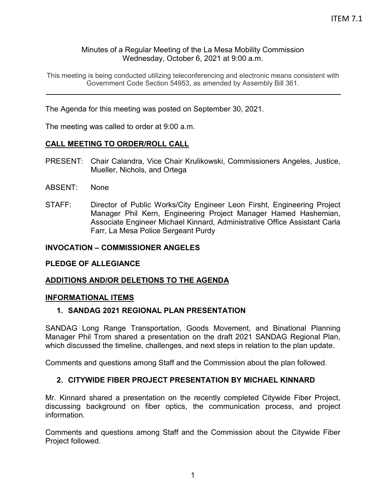### Minutes of a Regular Meeting of the La Mesa Mobility Commission Wednesday, October 6, 2021 at 9:00 a.m.

This meeting is being conducted utilizing teleconferencing and electronic means consistent with Government Code Section 54953, as amended by Assembly Bill 361.

The Agenda for this meeting was posted on September 30, 2021.

The meeting was called to order at 9:00 a.m.

### **CALL MEETING TO ORDER/ROLL CALL**

- PRESENT: Chair Calandra, Vice Chair Krulikowski, Commissioners Angeles, Justice, Mueller, Nichols, and Ortega
- ABSENT: None
- STAFF: Director of Public Works/City Engineer Leon Firsht, Engineering Project Manager Phil Kern, Engineering Project Manager Hamed Hashemian, Associate Engineer Michael Kinnard, Administrative Office Assistant Carla Farr, La Mesa Police Sergeant Purdy

### **INVOCATION – COMMISSIONER ANGELES**

### **PLEDGE OF ALLEGIANCE**

### **ADDITIONS AND/OR DELETIONS TO THE AGENDA**

### **INFORMATIONAL ITEMS**

### **1. SANDAG 2021 REGIONAL PLAN PRESENTATION**

SANDAG Long Range Transportation, Goods Movement, and Binational Planning Manager Phil Trom shared a presentation on the draft 2021 SANDAG Regional Plan, which discussed the timeline, challenges, and next steps in relation to the plan update.

Comments and questions among Staff and the Commission about the plan followed.

### **2. CITYWIDE FIBER PROJECT PRESENTATION BY MICHAEL KINNARD**

Mr. Kinnard shared a presentation on the recently completed Citywide Fiber Project, discussing background on fiber optics, the communication process, and project information.

Comments and questions among Staff and the Commission about the Citywide Fiber Project followed.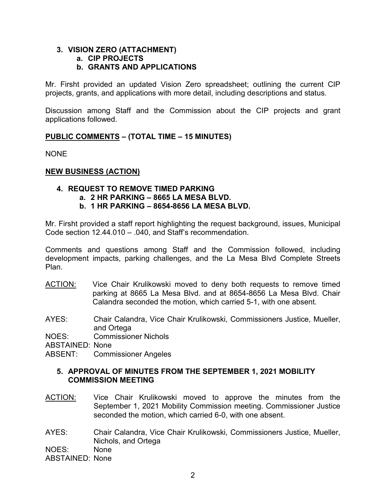#### **3. VISION ZERO (ATTACHMENT) a. CIP PROJECTS**

## **b. GRANTS AND APPLICATIONS**

Mr. Firsht provided an updated Vision Zero spreadsheet; outlining the current CIP projects, grants, and applications with more detail, including descriptions and status.

Discussion among Staff and the Commission about the CIP projects and grant applications followed.

### **PUBLIC COMMENTS – (TOTAL TIME – 15 MINUTES)**

NONE

### **NEW BUSINESS (ACTION)**

### **4. REQUEST TO REMOVE TIMED PARKING**

- **a. 2 HR PARKING – 8665 LA MESA BLVD.**
- **b. 1 HR PARKING – 8654-8656 LA MESA BLVD.**

Mr. Firsht provided a staff report highlighting the request background, issues, Municipal Code section 12.44.010 – .040, and Staff's recommendation.

Comments and questions among Staff and the Commission followed, including development impacts, parking challenges, and the La Mesa Blvd Complete Streets Plan.

- ACTION: Vice Chair Krulikowski moved to deny both requests to remove timed parking at 8665 La Mesa Blvd. and at 8654-8656 La Mesa Blvd. Chair Calandra seconded the motion, which carried 5-1, with one absent.
- AYES: Chair Calandra, Vice Chair Krulikowski, Commissioners Justice, Mueller, and Ortega

NOES: Commissioner Nichols

ABSTAINED: None

ABSENT: Commissioner Angeles

### **5. APPROVAL OF MINUTES FROM THE SEPTEMBER 1, 2021 MOBILITY COMMISSION MEETING**

- ACTION: Vice Chair Krulikowski moved to approve the minutes from the September 1, 2021 Mobility Commission meeting. Commissioner Justice seconded the motion, which carried 6-0, with one absent.
- AYES: Chair Calandra, Vice Chair Krulikowski, Commissioners Justice, Mueller, Nichols, and Ortega

NOES: None

ABSTAINED: None